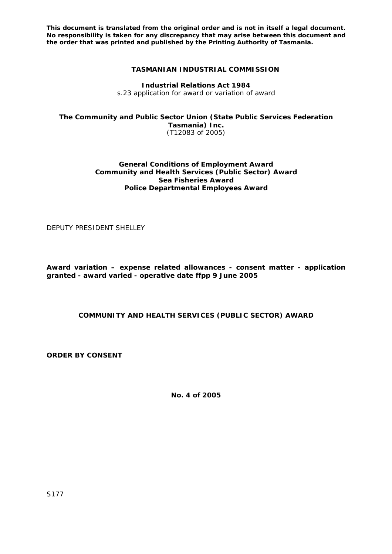## **TASMANIAN INDUSTRIAL COMMISSION**

**Industrial Relations Act 1984**  s.23 application for award or variation of award

**The Community and Public Sector Union (State Public Services Federation Tasmania) Inc.** (T12083 of 2005)

### **General Conditions of Employment Award Community and Health Services (Public Sector) Award Sea Fisheries Award Police Departmental Employees Award**

DEPUTY PRESIDENT SHELLEY

**Award variation – expense related allowances - consent matter - application granted - award varied - operative date ffpp 9 June 2005** 

**COMMUNITY AND HEALTH SERVICES (PUBLIC SECTOR) AWARD** 

**ORDER BY CONSENT** 

**No. 4 of 2005** 

S177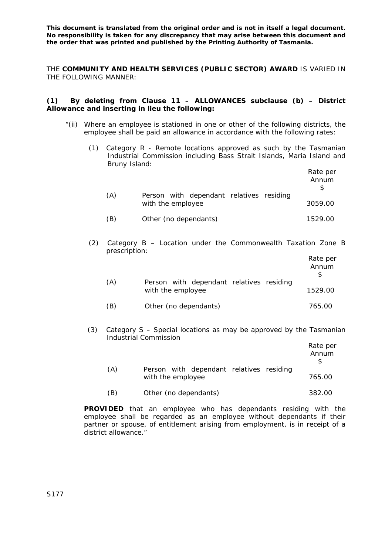THE **COMMUNITY AND HEALTH SERVICES (PUBLIC SECTOR) AWARD** IS VARIED IN THE FOLLOWING MANNER:

### **(1) By deleting from Clause 11 – ALLOWANCES subclause (b) – District Allowance and inserting in lieu the following:**

- "(ii) Where an employee is stationed in one or other of the following districts, the employee shall be paid an allowance in accordance with the following rates:
	- (1) Category R Remote locations approved as such by the Tasmanian Industrial Commission including Bass Strait Islands, Maria Island and Bruny Island:

|     |                                                               | Rate per<br>Annum |
|-----|---------------------------------------------------------------|-------------------|
| (A) | Person with dependant relatives residing<br>with the employee | 3059.00           |
| (B) | Other (no dependants)                                         | 1529.00           |

(2) Category B – Location under the Commonwealth Taxation Zone B prescription:

|     |                                                               | Rate per<br>Annum |
|-----|---------------------------------------------------------------|-------------------|
| (A) | Person with dependant relatives residing<br>with the employee | 1529.00           |
| (B) | Other (no dependants)                                         | 765.00            |

(3) Category S – Special locations as may be approved by the Tasmanian Industrial Commission

|     |                                                               | Rate per<br>Annum |
|-----|---------------------------------------------------------------|-------------------|
| (A) | Person with dependant relatives residing<br>with the employee | 765.00            |
| (B) | Other (no dependants)                                         | 382.00            |

**PROVIDED** that an employee who has dependants residing with the employee shall be regarded as an employee without dependants if their partner or spouse, of entitlement arising from employment, is in receipt of a district allowance."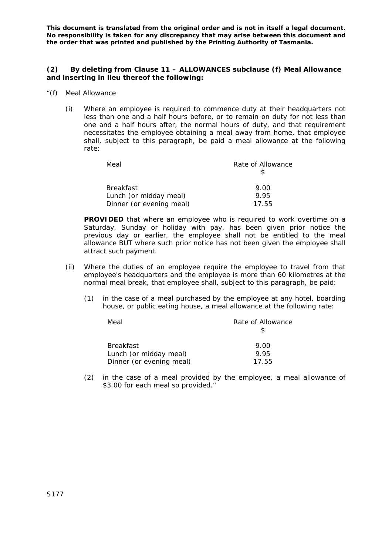### **(2) By deleting from Clause 11 – ALLOWANCES subclause (f) Meal Allowance and inserting in lieu thereof the following:**

- "(f) Meal Allowance
	- (i) Where an employee is required to commence duty at their headquarters not less than one and a half hours before, or to remain on duty for not less than one and a half hours after, the normal hours of duty, and that requirement necessitates the employee obtaining a meal away from home, that employee shall, subject to this paragraph, be paid a meal allowance at the following rate:

| Meal                     | Rate of Allowance |
|--------------------------|-------------------|
| <b>Breakfast</b>         | 9.00              |
| Lunch (or midday meal)   | 9.95              |
| Dinner (or evening meal) | 17.55             |

**PROVIDED** that where an employee who is required to work overtime on a Saturday, Sunday or holiday with pay, has been given prior notice the previous day or earlier, the employee shall not be entitled to the meal allowance BUT where such prior notice has not been given the employee shall attract such payment.

- (ii) Where the duties of an employee require the employee to travel from that employee's headquarters and the employee is more than 60 kilometres at the normal meal break, that employee shall, subject to this paragraph, be paid:
	- (1) in the case of a meal purchased by the employee at any hotel, boarding house, or public eating house, a meal allowance at the following rate:

| Meal                     | Rate of Allowance |
|--------------------------|-------------------|
|                          |                   |
| <b>Breakfast</b>         | 9.00              |
| Lunch (or midday meal)   | 9.95              |
| Dinner (or evening meal) | 17.55             |

(2) in the case of a meal provided by the employee, a meal allowance of \$3.00 for each meal so provided."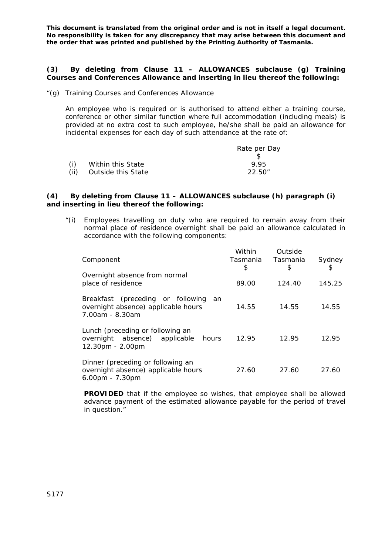#### **(3) By deleting from Clause 11 – ALLOWANCES subclause (g) Training Courses and Conferences Allowance and inserting in lieu thereof the following:**

"(g) Training Courses and Conferences Allowance

An employee who is required or is authorised to attend either a training course, conference or other similar function where full accommodation (including meals) is provided at no extra cost to such employee, he/she shall be paid an allowance for incidental expenses for each day of such attendance at the rate of:

|      |                    | Rate per Day |
|------|--------------------|--------------|
|      |                    |              |
| (i)  | Within this State  | 995          |
| (ii) | Outside this State | 22.50"       |

#### **(4) By deleting from Clause 11 – ALLOWANCES subclause (h) paragraph (i) and inserting in lieu thereof the following:**

"(i) Employees travelling on duty who are required to remain away from their normal place of residence overnight shall be paid an allowance calculated in accordance with the following components:

| Component                                                                                         | Within<br>Tasmania<br>\$ | Outside<br>Tasmania<br>\$ | Sydney<br>\$ |
|---------------------------------------------------------------------------------------------------|--------------------------|---------------------------|--------------|
| Overnight absence from normal<br>place of residence                                               | 89.00                    | 124.40                    | 145.25       |
| Breakfast (preceding or following<br>an<br>overnight absence) applicable hours<br>7.00am - 8.30am | 14.55                    | 14.55                     | 14.55        |
| Lunch (preceding or following an<br>overnight absence) applicable<br>hours<br>$12.30pm - 2.00pm$  | 12.95                    | 12.95                     | 12.95        |
| Dinner (preceding or following an<br>overnight absence) applicable hours<br>$6.00$ pm - $7.30$ pm | 27.60                    | 27.60                     | 27.60        |

**PROVIDED** that if the employee so wishes, that employee shall be allowed advance payment of the estimated allowance payable for the period of travel in question."